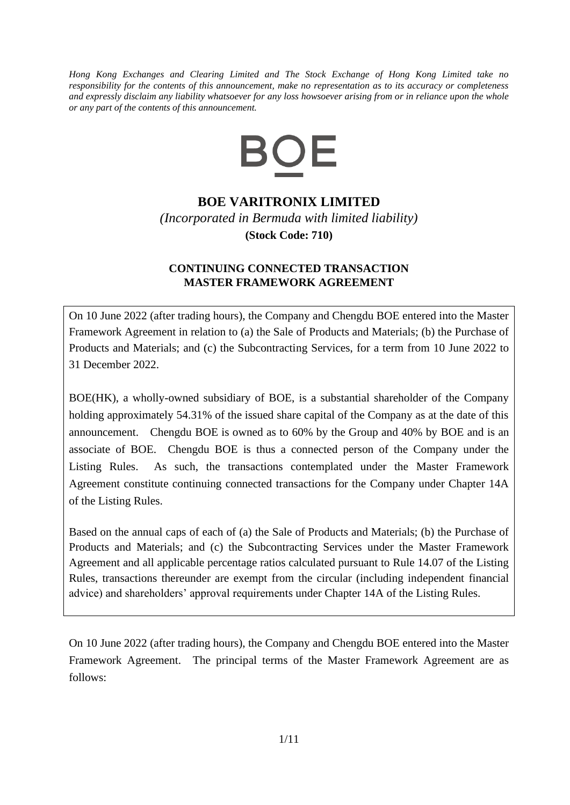*Hong Kong Exchanges and Clearing Limited and The Stock Exchange of Hong Kong Limited take no responsibility for the contents of this announcement, make no representation as to its accuracy or completeness and expressly disclaim any liability whatsoever for any loss howsoever arising from or in reliance upon the whole or any part of the contents of this announcement.*



# **BOE VARITRONIX LIMITED**

*(Incorporated in Bermuda with limited liability)* **(Stock Code: 710)**

## **CONTINUING CONNECTED TRANSACTION MASTER FRAMEWORK AGREEMENT**

On 10 June 2022 (after trading hours), the Company and Chengdu BOE entered into the Master Framework Agreement in relation to (a) the Sale of Products and Materials; (b) the Purchase of Products and Materials; and (c) the Subcontracting Services, for a term from 10 June 2022 to 31 December 2022.

BOE(HK), a wholly-owned subsidiary of BOE, is a substantial shareholder of the Company holding approximately 54.31% of the issued share capital of the Company as at the date of this announcement. Chengdu BOE is owned as to 60% by the Group and 40% by BOE and is an associate of BOE. Chengdu BOE is thus a connected person of the Company under the Listing Rules. As such, the transactions contemplated under the Master Framework Agreement constitute continuing connected transactions for the Company under Chapter 14A of the Listing Rules.

Based on the annual caps of each of (a) the Sale of Products and Materials; (b) the Purchase of Products and Materials; and (c) the Subcontracting Services under the Master Framework Agreement and all applicable percentage ratios calculated pursuant to Rule 14.07 of the Listing Rules, transactions thereunder are exempt from the circular (including independent financial advice) and shareholders' approval requirements under Chapter 14A of the Listing Rules.

On 10 June 2022 (after trading hours), the Company and Chengdu BOE entered into the Master Framework Agreement. The principal terms of the Master Framework Agreement are as follows: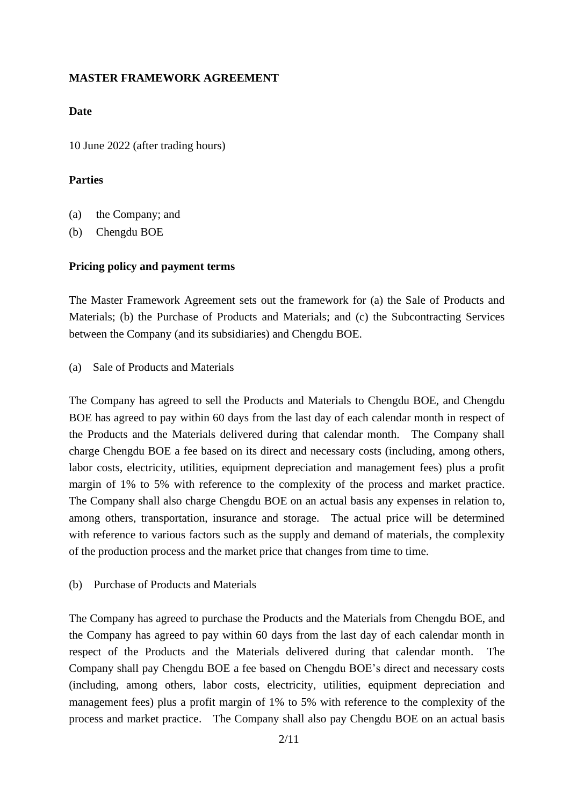### **MASTER FRAMEWORK AGREEMENT**

#### **Date**

10 June 2022 (after trading hours)

#### **Parties**

- (a) the Company; and
- (b) Chengdu BOE

### **Pricing policy and payment terms**

The Master Framework Agreement sets out the framework for (a) the Sale of Products and Materials; (b) the Purchase of Products and Materials; and (c) the Subcontracting Services between the Company (and its subsidiaries) and Chengdu BOE.

(a) Sale of Products and Materials

The Company has agreed to sell the Products and Materials to Chengdu BOE, and Chengdu BOE has agreed to pay within 60 days from the last day of each calendar month in respect of the Products and the Materials delivered during that calendar month. The Company shall charge Chengdu BOE a fee based on its direct and necessary costs (including, among others, labor costs, electricity, utilities, equipment depreciation and management fees) plus a profit margin of 1% to 5% with reference to the complexity of the process and market practice. The Company shall also charge Chengdu BOE on an actual basis any expenses in relation to, among others, transportation, insurance and storage. The actual price will be determined with reference to various factors such as the supply and demand of materials, the complexity of the production process and the market price that changes from time to time.

(b) Purchase of Products and Materials

The Company has agreed to purchase the Products and the Materials from Chengdu BOE, and the Company has agreed to pay within 60 days from the last day of each calendar month in respect of the Products and the Materials delivered during that calendar month. The Company shall pay Chengdu BOE a fee based on Chengdu BOE's direct and necessary costs (including, among others, labor costs, electricity, utilities, equipment depreciation and management fees) plus a profit margin of 1% to 5% with reference to the complexity of the process and market practice. The Company shall also pay Chengdu BOE on an actual basis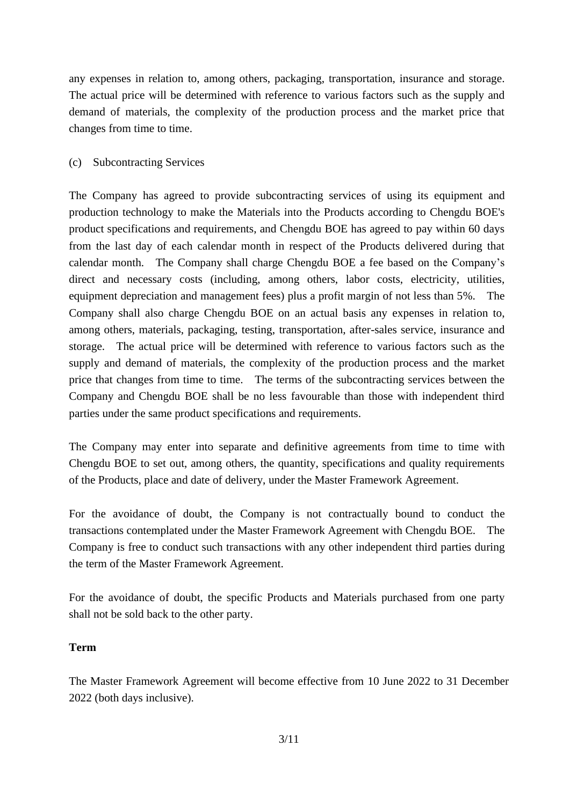any expenses in relation to, among others, packaging, transportation, insurance and storage. The actual price will be determined with reference to various factors such as the supply and demand of materials, the complexity of the production process and the market price that changes from time to time.

## (c) Subcontracting Services

The Company has agreed to provide subcontracting services of using its equipment and production technology to make the Materials into the Products according to Chengdu BOE's product specifications and requirements, and Chengdu BOE has agreed to pay within 60 days from the last day of each calendar month in respect of the Products delivered during that calendar month. The Company shall charge Chengdu BOE a fee based on the Company's direct and necessary costs (including, among others, labor costs, electricity, utilities, equipment depreciation and management fees) plus a profit margin of not less than 5%. The Company shall also charge Chengdu BOE on an actual basis any expenses in relation to, among others, materials, packaging, testing, transportation, after-sales service, insurance and storage. The actual price will be determined with reference to various factors such as the supply and demand of materials, the complexity of the production process and the market price that changes from time to time. The terms of the subcontracting services between the Company and Chengdu BOE shall be no less favourable than those with independent third parties under the same product specifications and requirements.

The Company may enter into separate and definitive agreements from time to time with Chengdu BOE to set out, among others, the quantity, specifications and quality requirements of the Products, place and date of delivery, under the Master Framework Agreement.

For the avoidance of doubt, the Company is not contractually bound to conduct the transactions contemplated under the Master Framework Agreement with Chengdu BOE. The Company is free to conduct such transactions with any other independent third parties during the term of the Master Framework Agreement.

For the avoidance of doubt, the specific Products and Materials purchased from one party shall not be sold back to the other party.

## **Term**

The Master Framework Agreement will become effective from 10 June 2022 to 31 December 2022 (both days inclusive).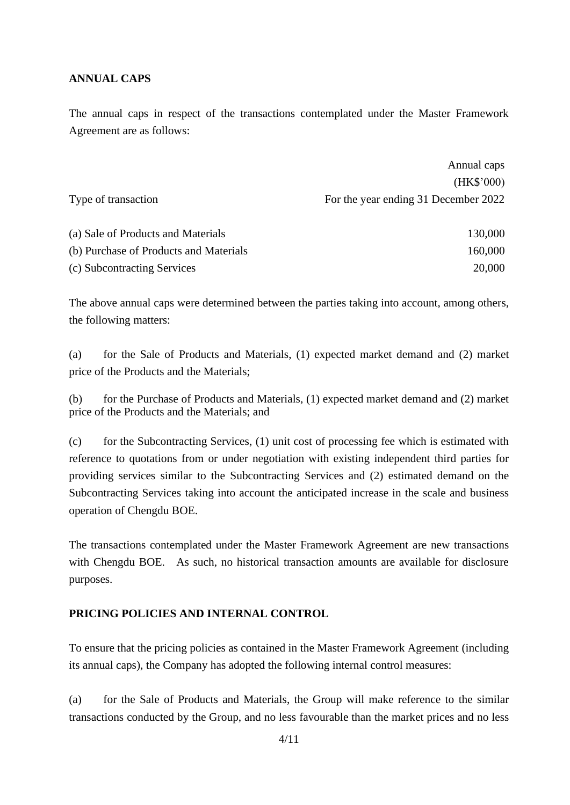## **ANNUAL CAPS**

The annual caps in respect of the transactions contemplated under the Master Framework Agreement are as follows:

|                                        | Annual caps                          |
|----------------------------------------|--------------------------------------|
|                                        | (HK\$'000)                           |
| Type of transaction                    | For the year ending 31 December 2022 |
|                                        |                                      |
| (a) Sale of Products and Materials     | 130,000                              |
| (b) Purchase of Products and Materials | 160,000                              |
| (c) Subcontracting Services            | 20,000                               |

The above annual caps were determined between the parties taking into account, among others, the following matters:

(a) for the Sale of Products and Materials, (1) expected market demand and (2) market price of the Products and the Materials;

(b) for the Purchase of Products and Materials, (1) expected market demand and (2) market price of the Products and the Materials; and

(c) for the Subcontracting Services, (1) unit cost of processing fee which is estimated with reference to quotations from or under negotiation with existing independent third parties for providing services similar to the Subcontracting Services and (2) estimated demand on the Subcontracting Services taking into account the anticipated increase in the scale and business operation of Chengdu BOE.

The transactions contemplated under the Master Framework Agreement are new transactions with Chengdu BOE. As such, no historical transaction amounts are available for disclosure purposes.

## **PRICING POLICIES AND INTERNAL CONTROL**

To ensure that the pricing policies as contained in the Master Framework Agreement (including its annual caps), the Company has adopted the following internal control measures:

(a) for the Sale of Products and Materials, the Group will make reference to the similar transactions conducted by the Group, and no less favourable than the market prices and no less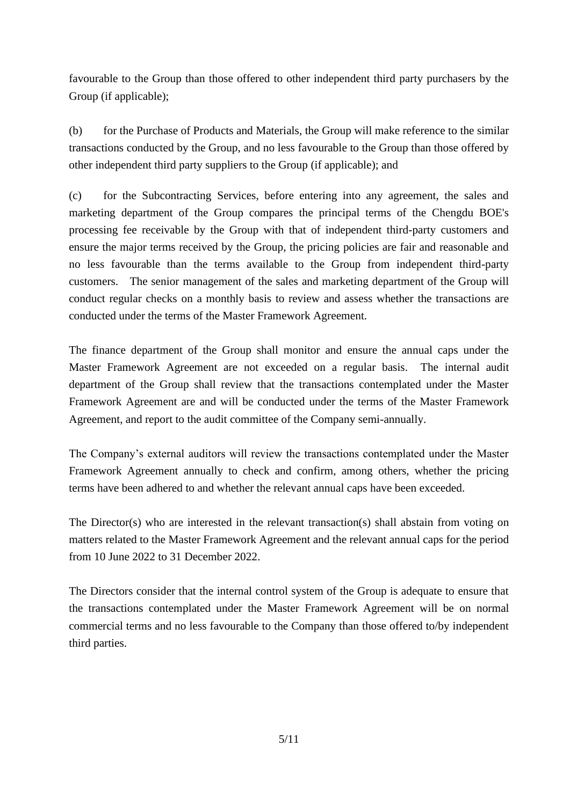favourable to the Group than those offered to other independent third party purchasers by the Group (if applicable);

(b) for the Purchase of Products and Materials, the Group will make reference to the similar transactions conducted by the Group, and no less favourable to the Group than those offered by other independent third party suppliers to the Group (if applicable); and

(c) for the Subcontracting Services, before entering into any agreement, the sales and marketing department of the Group compares the principal terms of the Chengdu BOE's processing fee receivable by the Group with that of independent third-party customers and ensure the major terms received by the Group, the pricing policies are fair and reasonable and no less favourable than the terms available to the Group from independent third-party customers. The senior management of the sales and marketing department of the Group will conduct regular checks on a monthly basis to review and assess whether the transactions are conducted under the terms of the Master Framework Agreement.

The finance department of the Group shall monitor and ensure the annual caps under the Master Framework Agreement are not exceeded on a regular basis. The internal audit department of the Group shall review that the transactions contemplated under the Master Framework Agreement are and will be conducted under the terms of the Master Framework Agreement, and report to the audit committee of the Company semi-annually.

The Company's external auditors will review the transactions contemplated under the Master Framework Agreement annually to check and confirm, among others, whether the pricing terms have been adhered to and whether the relevant annual caps have been exceeded.

The Director(s) who are interested in the relevant transaction(s) shall abstain from voting on matters related to the Master Framework Agreement and the relevant annual caps for the period from 10 June 2022 to 31 December 2022.

The Directors consider that the internal control system of the Group is adequate to ensure that the transactions contemplated under the Master Framework Agreement will be on normal commercial terms and no less favourable to the Company than those offered to/by independent third parties.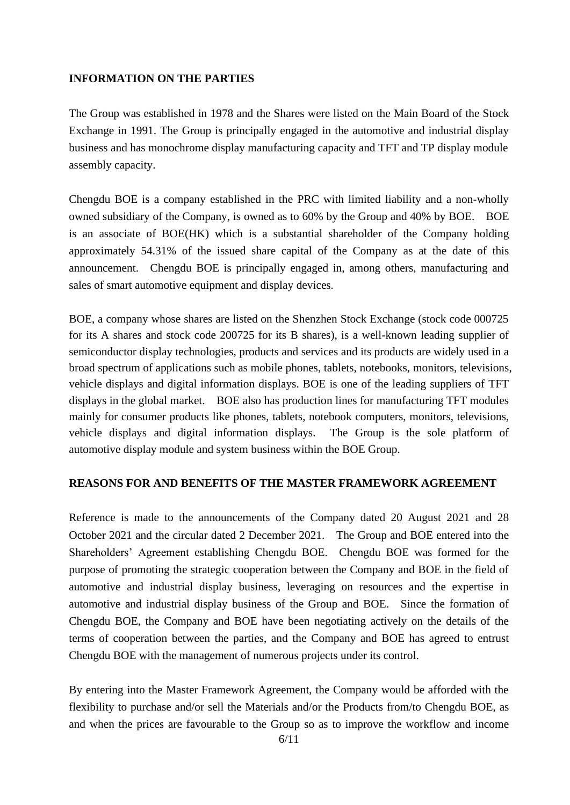### **INFORMATION ON THE PARTIES**

The Group was established in 1978 and the Shares were listed on the Main Board of the Stock Exchange in 1991. The Group is principally engaged in the automotive and industrial display business and has monochrome display manufacturing capacity and TFT and TP display module assembly capacity.

Chengdu BOE is a company established in the PRC with limited liability and a non-wholly owned subsidiary of the Company, is owned as to 60% by the Group and 40% by BOE. BOE is an associate of BOE(HK) which is a substantial shareholder of the Company holding approximately 54.31% of the issued share capital of the Company as at the date of this announcement. Chengdu BOE is principally engaged in, among others, manufacturing and sales of smart automotive equipment and display devices.

BOE, a company whose shares are listed on the Shenzhen Stock Exchange (stock code 000725 for its A shares and stock code 200725 for its B shares), is a well-known leading supplier of semiconductor display technologies, products and services and its products are widely used in a broad spectrum of applications such as mobile phones, tablets, notebooks, monitors, televisions, vehicle displays and digital information displays. BOE is one of the leading suppliers of TFT displays in the global market. BOE also has production lines for manufacturing TFT modules mainly for consumer products like phones, tablets, notebook computers, monitors, televisions, vehicle displays and digital information displays. The Group is the sole platform of automotive display module and system business within the BOE Group.

### **REASONS FOR AND BENEFITS OF THE MASTER FRAMEWORK AGREEMENT**

Reference is made to the announcements of the Company dated 20 August 2021 and 28 October 2021 and the circular dated 2 December 2021. The Group and BOE entered into the Shareholders' Agreement establishing Chengdu BOE. Chengdu BOE was formed for the purpose of promoting the strategic cooperation between the Company and BOE in the field of automotive and industrial display business, leveraging on resources and the expertise in automotive and industrial display business of the Group and BOE. Since the formation of Chengdu BOE, the Company and BOE have been negotiating actively on the details of the terms of cooperation between the parties, and the Company and BOE has agreed to entrust Chengdu BOE with the management of numerous projects under its control.

By entering into the Master Framework Agreement, the Company would be afforded with the flexibility to purchase and/or sell the Materials and/or the Products from/to Chengdu BOE, as and when the prices are favourable to the Group so as to improve the workflow and income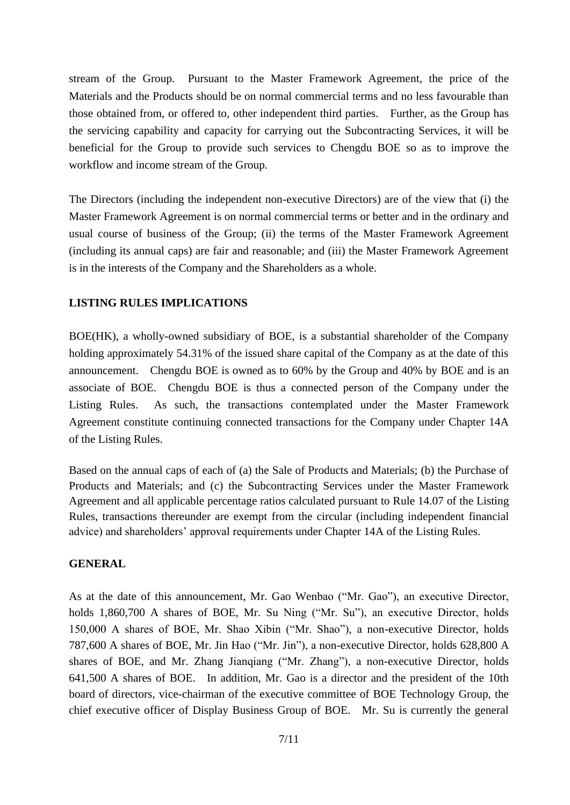stream of the Group. Pursuant to the Master Framework Agreement, the price of the Materials and the Products should be on normal commercial terms and no less favourable than those obtained from, or offered to, other independent third parties. Further, as the Group has the servicing capability and capacity for carrying out the Subcontracting Services, it will be beneficial for the Group to provide such services to Chengdu BOE so as to improve the workflow and income stream of the Group.

The Directors (including the independent non-executive Directors) are of the view that (i) the Master Framework Agreement is on normal commercial terms or better and in the ordinary and usual course of business of the Group; (ii) the terms of the Master Framework Agreement (including its annual caps) are fair and reasonable; and (iii) the Master Framework Agreement is in the interests of the Company and the Shareholders as a whole.

### **LISTING RULES IMPLICATIONS**

BOE(HK), a wholly-owned subsidiary of BOE, is a substantial shareholder of the Company holding approximately 54.31% of the issued share capital of the Company as at the date of this announcement. Chengdu BOE is owned as to 60% by the Group and 40% by BOE and is an associate of BOE. Chengdu BOE is thus a connected person of the Company under the Listing Rules. As such, the transactions contemplated under the Master Framework Agreement constitute continuing connected transactions for the Company under Chapter 14A of the Listing Rules.

Based on the annual caps of each of (a) the Sale of Products and Materials; (b) the Purchase of Products and Materials; and (c) the Subcontracting Services under the Master Framework Agreement and all applicable percentage ratios calculated pursuant to Rule 14.07 of the Listing Rules, transactions thereunder are exempt from the circular (including independent financial advice) and shareholders' approval requirements under Chapter 14A of the Listing Rules.

#### **GENERAL**

As at the date of this announcement, Mr. Gao Wenbao ("Mr. Gao"), an executive Director, holds 1,860,700 A shares of BOE, Mr. Su Ning ("Mr. Su"), an executive Director, holds 150,000 A shares of BOE, Mr. Shao Xibin ("Mr. Shao"), a non-executive Director, holds 787,600 A shares of BOE, Mr. Jin Hao ("Mr. Jin"), a non-executive Director, holds 628,800 A shares of BOE, and Mr. Zhang Jianqiang ("Mr. Zhang"), a non-executive Director, holds 641,500 A shares of BOE. In addition, Mr. Gao is a director and the president of the 10th board of directors, vice-chairman of the executive committee of BOE Technology Group, the chief executive officer of Display Business Group of BOE. Mr. Su is currently the general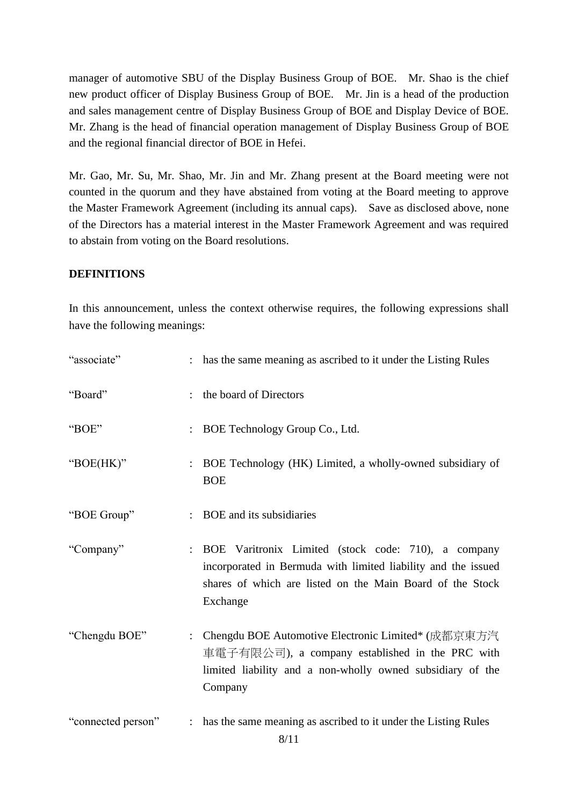manager of automotive SBU of the Display Business Group of BOE. Mr. Shao is the chief new product officer of Display Business Group of BOE. Mr. Jin is a head of the production and sales management centre of Display Business Group of BOE and Display Device of BOE. Mr. Zhang is the head of financial operation management of Display Business Group of BOE and the regional financial director of BOE in Hefei.

Mr. Gao, Mr. Su, Mr. Shao, Mr. Jin and Mr. Zhang present at the Board meeting were not counted in the quorum and they have abstained from voting at the Board meeting to approve the Master Framework Agreement (including its annual caps). Save as disclosed above, none of the Directors has a material interest in the Master Framework Agreement and was required to abstain from voting on the Board resolutions.

## **DEFINITIONS**

In this announcement, unless the context otherwise requires, the following expressions shall have the following meanings:

| "associate"        |                      | : has the same meaning as ascribed to it under the Listing Rules                                                                                                                              |
|--------------------|----------------------|-----------------------------------------------------------------------------------------------------------------------------------------------------------------------------------------------|
| "Board"            |                      | : the board of Directors                                                                                                                                                                      |
| "BOE"              |                      | BOE Technology Group Co., Ltd.                                                                                                                                                                |
| "BOE(HK)"          |                      | BOE Technology (HK) Limited, a wholly-owned subsidiary of<br><b>BOE</b>                                                                                                                       |
| "BOE Group"        |                      | BOE and its subsidiaries                                                                                                                                                                      |
| "Company"          |                      | BOE Varitronix Limited (stock code: 710), a company<br>incorporated in Bermuda with limited liability and the issued<br>shares of which are listed on the Main Board of the Stock<br>Exchange |
| "Chengdu BOE"      | $\ddot{\phantom{a}}$ | Chengdu BOE Automotive Electronic Limited* (成都京東方汽<br>車電子有限公司), a company established in the PRC with<br>limited liability and a non-wholly owned subsidiary of the<br>Company                |
| "connected person" |                      | : has the same meaning as ascribed to it under the Listing Rules                                                                                                                              |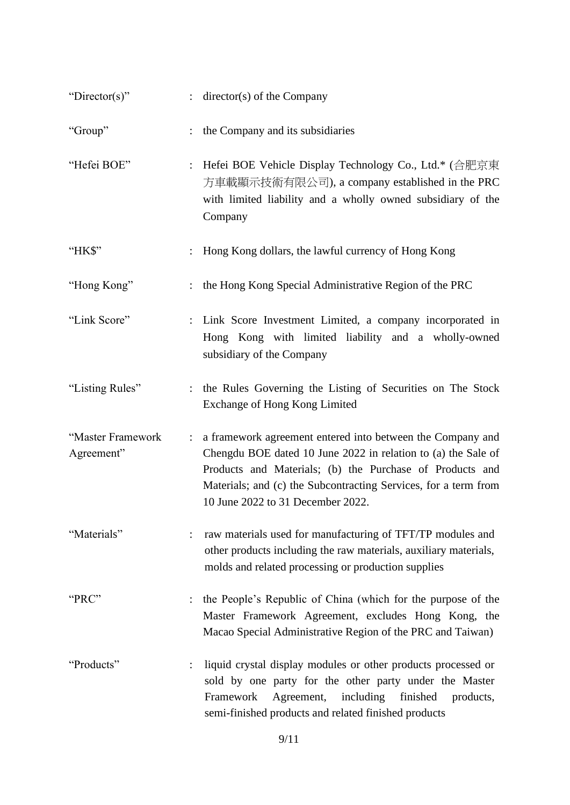| "Director(s)"                   | $:$ director(s) of the Company                                                                                                                                                                                                                                                                                    |
|---------------------------------|-------------------------------------------------------------------------------------------------------------------------------------------------------------------------------------------------------------------------------------------------------------------------------------------------------------------|
| "Group"                         | : the Company and its subsidiaries                                                                                                                                                                                                                                                                                |
| "Hefei BOE"                     | Hefei BOE Vehicle Display Technology Co., Ltd.* (合肥京東<br>$\ddot{\cdot}$<br>方車載顯示技術有限公司), a company established in the PRC<br>with limited liability and a wholly owned subsidiary of the<br>Company                                                                                                               |
| "HK\$"                          | : Hong Kong dollars, the lawful currency of Hong Kong                                                                                                                                                                                                                                                             |
| "Hong Kong"                     | : the Hong Kong Special Administrative Region of the PRC                                                                                                                                                                                                                                                          |
| "Link Score"                    | : Link Score Investment Limited, a company incorporated in<br>Hong Kong with limited liability and a wholly-owned<br>subsidiary of the Company                                                                                                                                                                    |
| "Listing Rules"                 | : the Rules Governing the Listing of Securities on The Stock<br>Exchange of Hong Kong Limited                                                                                                                                                                                                                     |
| "Master Framework<br>Agreement" | a framework agreement entered into between the Company and<br>$\ddot{\cdot}$<br>Chengdu BOE dated 10 June 2022 in relation to (a) the Sale of<br>Products and Materials; (b) the Purchase of Products and<br>Materials; and (c) the Subcontracting Services, for a term from<br>10 June 2022 to 31 December 2022. |
| "Materials"                     | raw materials used for manufacturing of TFT/TP modules and<br>other products including the raw materials, auxiliary materials,<br>molds and related processing or production supplies                                                                                                                             |
| "PRC"                           | the People's Republic of China (which for the purpose of the<br>Master Framework Agreement, excludes Hong Kong, the<br>Macao Special Administrative Region of the PRC and Taiwan)                                                                                                                                 |
| "Products"                      | liquid crystal display modules or other products processed or<br>sold by one party for the other party under the Master<br>Framework<br>Agreement,<br>including<br>finished<br>products,<br>semi-finished products and related finished products                                                                  |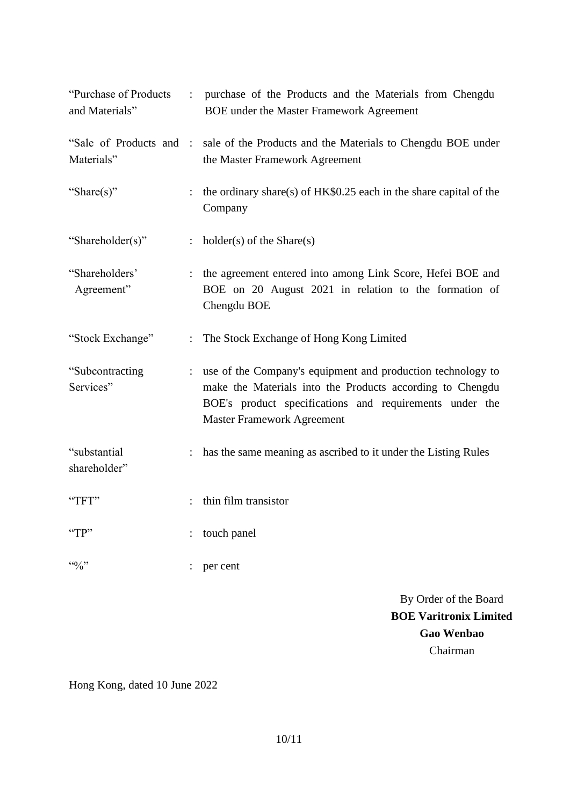| "Purchase of Products"<br>and Materials" | $\mathbb{R}^{\mathbb{Z}}$ | purchase of the Products and the Materials from Chengdu<br><b>BOE</b> under the Master Framework Agreement                                                                                                               |
|------------------------------------------|---------------------------|--------------------------------------------------------------------------------------------------------------------------------------------------------------------------------------------------------------------------|
| "Sale of Products and :<br>Materials"    |                           | sale of the Products and the Materials to Chengdu BOE under<br>the Master Framework Agreement                                                                                                                            |
| "Share(s)"                               | $\ddot{\cdot}$            | the ordinary share(s) of HK\$0.25 each in the share capital of the<br>Company                                                                                                                                            |
| "Shareholder(s)"                         | $\ddot{\phantom{a}}$      | $holder(s)$ of the Share $(s)$                                                                                                                                                                                           |
| "Shareholders"<br>Agreement"             | $\ddot{\cdot}$            | the agreement entered into among Link Score, Hefei BOE and<br>BOE on 20 August 2021 in relation to the formation of<br>Chengdu BOE                                                                                       |
| "Stock Exchange"                         |                           | The Stock Exchange of Hong Kong Limited                                                                                                                                                                                  |
| "Subcontracting<br>Services"             | $\ddot{\cdot}$            | use of the Company's equipment and production technology to<br>make the Materials into the Products according to Chengdu<br>BOE's product specifications and requirements under the<br><b>Master Framework Agreement</b> |
| "substantial<br>shareholder"             | $\ddot{\phantom{a}}$      | has the same meaning as ascribed to it under the Listing Rules                                                                                                                                                           |
| "TFT"                                    |                           | thin film transistor                                                                                                                                                                                                     |
| "TP"                                     |                           | touch panel                                                                                                                                                                                                              |
|                                          |                           | per cent                                                                                                                                                                                                                 |
|                                          |                           | By Order of the Board                                                                                                                                                                                                    |
|                                          |                           | <b>BOE Varitronix Limited</b>                                                                                                                                                                                            |

Hong Kong, dated 10 June 2022

**Gao Wenbao** Chairman